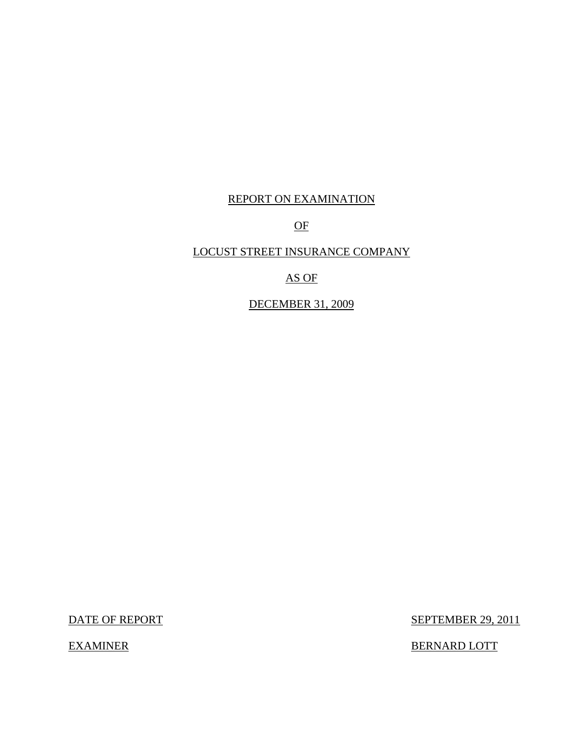## REPORT ON EXAMINATION

OF

## LOCUST STREET INSURANCE COMPANY

AS OF

DECEMBER 31, 2009

DATE OF REPORT SEPTEMBER 29, 2011

EXAMINER BERNARD LOTT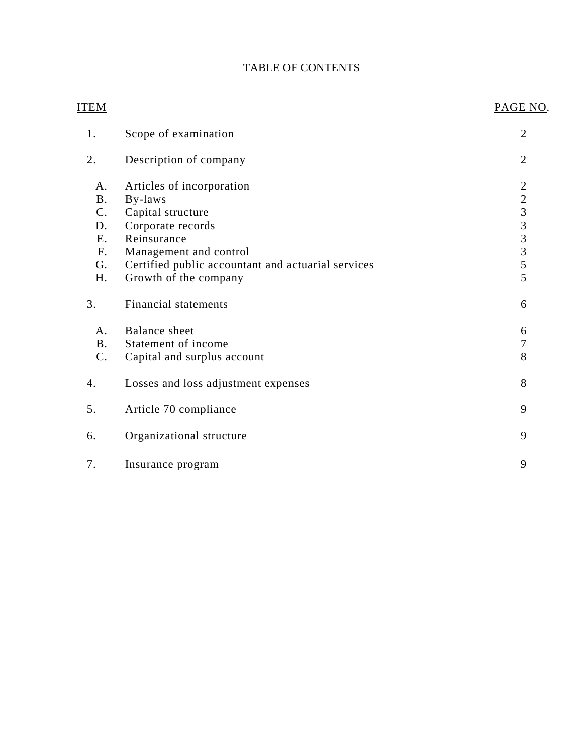# TABLE OF CONTENTS

| <u>ITEM</u>    |                                                    | PAGE NO.                        |
|----------------|----------------------------------------------------|---------------------------------|
| 1.             | Scope of examination                               | $\overline{2}$                  |
| 2.             | Description of company                             | $\overline{2}$                  |
| A.             | Articles of incorporation                          |                                 |
| <b>B.</b>      | By-laws                                            |                                 |
| C <sub>1</sub> | Capital structure                                  |                                 |
| D.             | Corporate records                                  | $2$ $2$ $3$ $3$ $3$ $3$ $5$ $5$ |
| E.             | Reinsurance                                        |                                 |
| F <sub>1</sub> | Management and control                             |                                 |
| G.             | Certified public accountant and actuarial services |                                 |
| H.             | Growth of the company                              |                                 |
| 3.             | <b>Financial statements</b>                        | 6                               |
| A.             | Balance sheet                                      | 6                               |
| B.             | Statement of income                                | $\overline{7}$                  |
| C.             | Capital and surplus account                        | 8                               |
| 4.             | Losses and loss adjustment expenses                | 8                               |
| 5.             | Article 70 compliance                              | 9                               |
| 6.             | Organizational structure                           | 9                               |
| 7.             | Insurance program                                  | 9                               |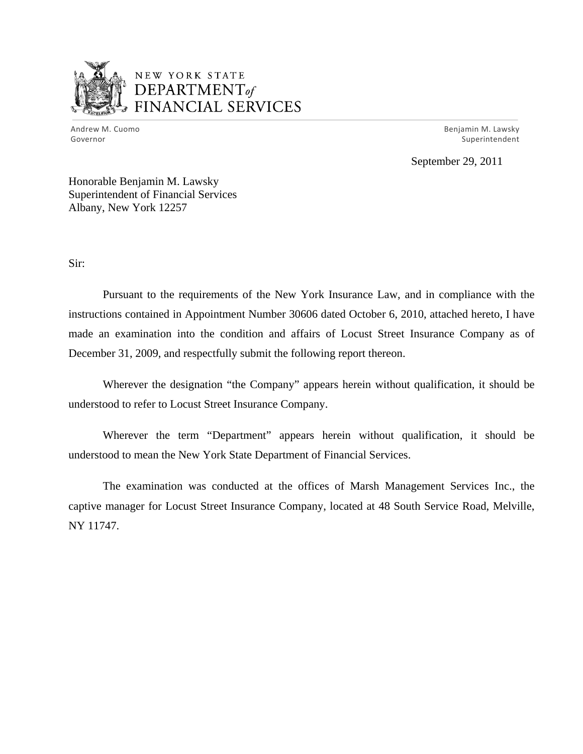

# NEW YORK STATE DEPARTMENTof *~,........,,* FINANCIAL SERVICES

Andrew M. Cuomo **Benjamin M. Lawsky** Governor Superintendent Superintendent Superintendent Superintendent Superintendent Superintendent Superintendent

September 29, 2011

Honorable Benjamin M. Lawsky Superintendent of Financial Services Albany, New York 12257

Sir:

Pursuant to the requirements of the New York Insurance Law, and in compliance with the instructions contained in Appointment Number 30606 dated October 6, 2010, attached hereto, I have made an examination into the condition and affairs of Locust Street Insurance Company as of December 31, 2009, and respectfully submit the following report thereon.

Wherever the designation "the Company" appears herein without qualification, it should be understood to refer to Locust Street Insurance Company.

Wherever the term "Department" appears herein without qualification, it should be understood to mean the New York State Department of Financial Services.

The examination was conducted at the offices of Marsh Management Services Inc., the captive manager for Locust Street Insurance Company, located at 48 South Service Road, Melville, NY 11747.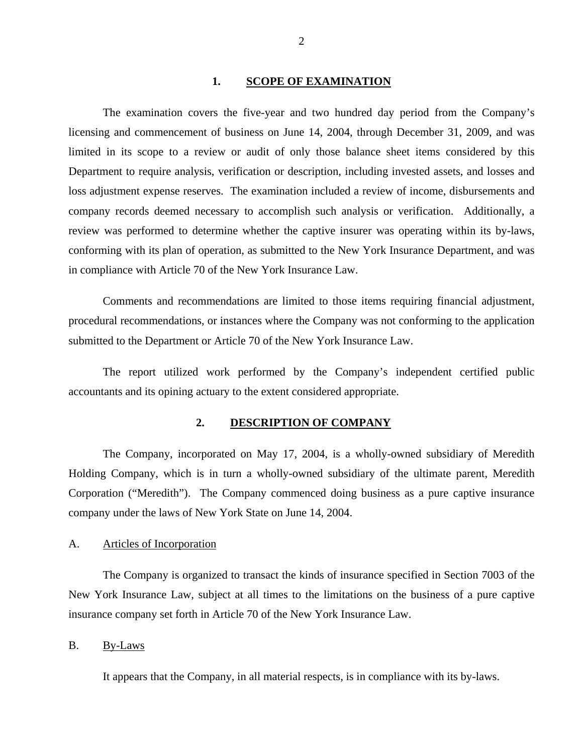#### **1. SCOPE OF EXAMINATION**

<span id="page-3-0"></span>The examination covers the five-year and two hundred day period from the Company's licensing and commencement of business on June 14, 2004, through December 31, 2009, and was limited in its scope to a review or audit of only those balance sheet items considered by this Department to require analysis, verification or description, including invested assets, and losses and loss adjustment expense reserves. The examination included a review of income, disbursements and company records deemed necessary to accomplish such analysis or verification. Additionally, a review was performed to determine whether the captive insurer was operating within its by-laws, conforming with its plan of operation, as submitted to the New York Insurance Department, and was in compliance with Article 70 of the New York Insurance Law.

Comments and recommendations are limited to those items requiring financial adjustment, procedural recommendations, or instances where the Company was not conforming to the application submitted to the Department or Article 70 of the New York Insurance Law.

The report utilized work performed by the Company's independent certified public accountants and its opining actuary to the extent considered appropriate.

#### **2. DESCRIPTION OF COMPANY**

The Company, incorporated on May 17, 2004, is a wholly-owned subsidiary of Meredith Holding Company, which is in turn a wholly-owned subsidiary of the ultimate parent, Meredith Corporation ("Meredith"). The Company commenced doing business as a pure captive insurance company under the laws of New York State on June 14, 2004.

#### A. Articles of Incorporation

The Company is organized to transact the kinds of insurance specified in Section 7003 of the New York Insurance Law, subject at all times to the limitations on the business of a pure captive insurance company set forth in Article 70 of the New York Insurance Law.

B. By-Laws

It appears that the Company, in all material respects, is in compliance with its by-laws.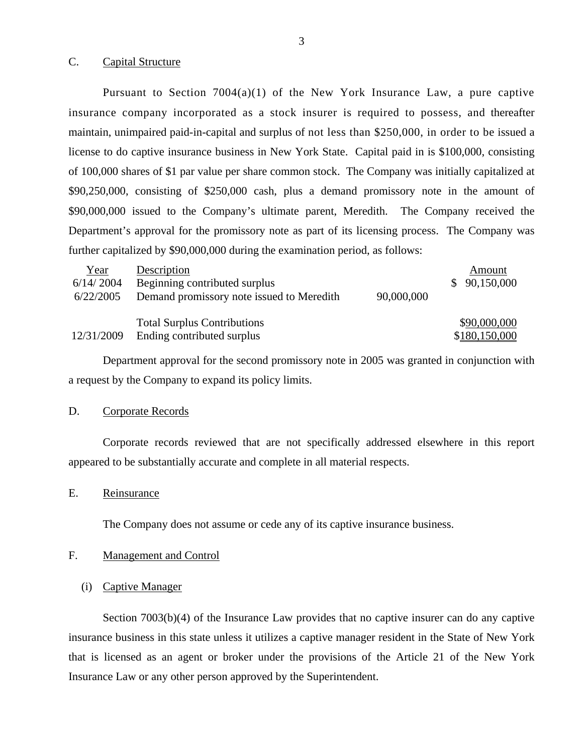#### <span id="page-4-0"></span>C. Capital Structure

Pursuant to Section  $7004(a)(1)$  of the New York Insurance Law, a pure captive insurance company incorporated as a stock insurer is required to possess, and thereafter maintain, unimpaired paid-in-capital and surplus of not less than \$250,000, in order to be issued a license to do captive insurance business in New York State. Capital paid in is \$100,000, consisting of 100,000 shares of \$1 par value per share common stock. The Company was initially capitalized at \$90,250,000, consisting of \$250,000 cash, plus a demand promissory note in the amount of \$90,000,000 issued to the Company's ultimate parent, Meredith. The Company received the Department's approval for the promissory note as part of its licensing process. The Company was further capitalized by \$90,000,000 during the examination period, as follows:

| Year       | Description                               |            | Amount        |
|------------|-------------------------------------------|------------|---------------|
| 6/14/2004  | Beginning contributed surplus             |            | 90,150,000    |
| 6/22/2005  | Demand promissory note issued to Meredith | 90,000,000 |               |
|            | <b>Total Surplus Contributions</b>        |            | \$90,000,000  |
| 12/31/2009 | Ending contributed surplus                |            | \$180,150,000 |

Department approval for the second promissory note in 2005 was granted in conjunction with a request by the Company to expand its policy limits.

## D. Corporate Records

Corporate records reviewed that are not specifically addressed elsewhere in this report appeared to be substantially accurate and complete in all material respects.

## E. Reinsurance

The Company does not assume or cede any of its captive insurance business.

#### F. Management and Control

#### (i) Captive Manager

Section 7003(b)(4) of the Insurance Law provides that no captive insurer can do any captive insurance business in this state unless it utilizes a captive manager resident in the State of New York that is licensed as an agent or broker under the provisions of the Article 21 of the New York Insurance Law or any other person approved by the Superintendent.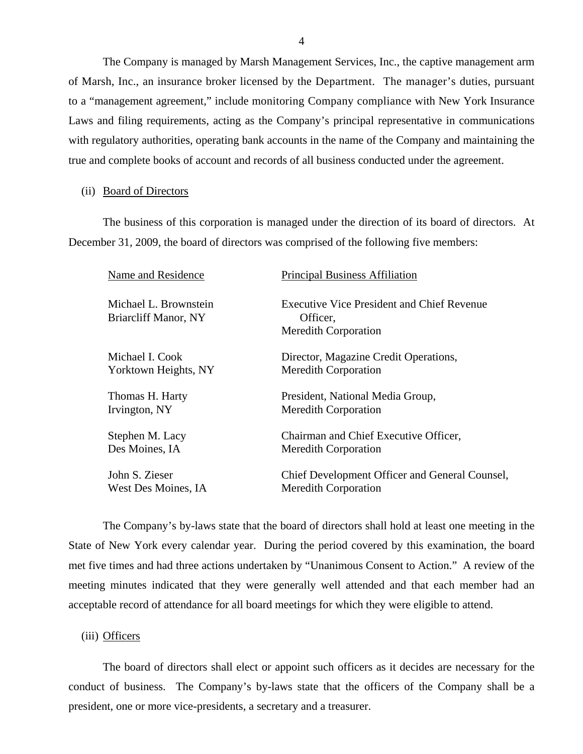The Company is managed by Marsh Management Services, Inc., the captive management arm of Marsh, Inc., an insurance broker licensed by the Department. The manager's duties, pursuant to a "management agreement," include monitoring Company compliance with New York Insurance Laws and filing requirements, acting as the Company's principal representative in communications with regulatory authorities, operating bank accounts in the name of the Company and maintaining the true and complete books of account and records of all business conducted under the agreement.

(ii) Board of Directors

The business of this corporation is managed under the direction of its board of directors. At December 31, 2009, the board of directors was comprised of the following five members:

| Name and Residence                            | <b>Principal Business Affiliation</b>                                                        |
|-----------------------------------------------|----------------------------------------------------------------------------------------------|
| Michael L. Brownstein<br>Briarcliff Manor, NY | <b>Executive Vice President and Chief Revenue</b><br>Officer,<br><b>Meredith Corporation</b> |
| Michael I. Cook                               | Director, Magazine Credit Operations,                                                        |
| Yorktown Heights, NY                          | <b>Meredith Corporation</b>                                                                  |
| Thomas H. Harty                               | President, National Media Group,                                                             |
| Irvington, NY                                 | <b>Meredith Corporation</b>                                                                  |
| Stephen M. Lacy                               | Chairman and Chief Executive Officer,                                                        |
| Des Moines, IA                                | <b>Meredith Corporation</b>                                                                  |
| John S. Zieser                                | Chief Development Officer and General Counsel,                                               |
| West Des Moines, IA                           | <b>Meredith Corporation</b>                                                                  |

The Company's by-laws state that the board of directors shall hold at least one meeting in the State of New York every calendar year. During the period covered by this examination, the board met five times and had three actions undertaken by "Unanimous Consent to Action." A review of the meeting minutes indicated that they were generally well attended and that each member had an acceptable record of attendance for all board meetings for which they were eligible to attend.

(iii) Officers

The board of directors shall elect or appoint such officers as it decides are necessary for the conduct of business. The Company's by-laws state that the officers of the Company shall be a president, one or more vice-presidents, a secretary and a treasurer.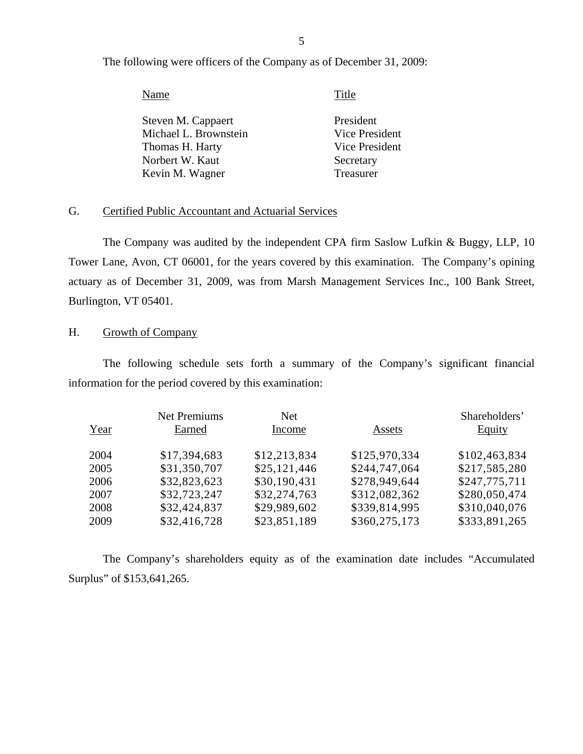The following were officers of the Company as of December 31, 2009:

| Name                  | Title          |
|-----------------------|----------------|
| Steven M. Cappaert    | President      |
| Michael L. Brownstein | Vice President |
| Thomas H. Harty       | Vice President |
| Norbert W. Kaut       | Secretary      |
| Kevin M. Wagner       | Treasurer      |
|                       |                |

## G. Certified Public Accountant and Actuarial Services

The Company was audited by the independent CPA firm Saslow Lufkin & Buggy, LLP, 10 Tower Lane, Avon, CT 06001, for the years covered by this examination. The Company's opining actuary as of December 31, 2009, was from Marsh Management Services Inc., 100 Bank Street, Burlington, VT 05401.

## H. Growth of Company

The following schedule sets forth a summary of the Company's significant financial information for the period covered by this examination:

|      | <b>Net Premiums</b> | Net          |               | Shareholders' |
|------|---------------------|--------------|---------------|---------------|
| Year | Earned              | Income       | Assets        | <b>Equity</b> |
| 2004 | \$17,394,683        | \$12,213,834 | \$125,970,334 | \$102,463,834 |
| 2005 | \$31,350,707        | \$25,121,446 | \$244,747,064 | \$217,585,280 |
| 2006 | \$32,823,623        | \$30,190,431 | \$278,949,644 | \$247,775,711 |
| 2007 | \$32,723,247        | \$32,274,763 | \$312,082,362 | \$280,050,474 |
| 2008 | \$32,424,837        | \$29,989,602 | \$339,814,995 | \$310,040,076 |
| 2009 | \$32,416,728        | \$23,851,189 | \$360,275,173 | \$333,891,265 |

The Company's shareholders equity as of the examination date includes "Accumulated Surplus" of \$153,641,265.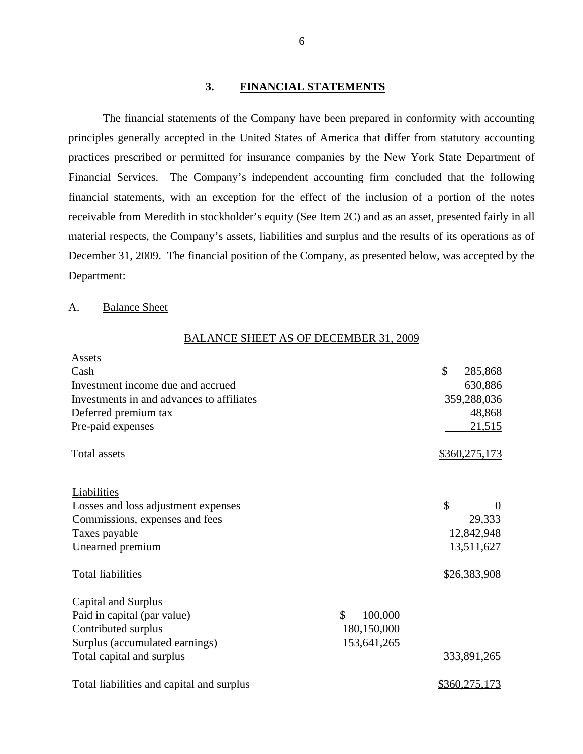#### **3. FINANCIAL STATEMENTS**

The financial statements of the Company have been prepared in conformity with accounting principles generally accepted in the United States of America that differ from statutory accounting practices prescribed or permitted for insurance companies by the New York State Department of Financial Services. The Company's independent accounting firm concluded that the following financial statements, with an exception for the effect of the inclusion of a portion of the notes receivable from Meredith in stockholder's equity (See Item 2C) and as an asset, presented fairly in all material respects, the Company's assets, liabilities and surplus and the results of its operations as of December 31, 2009. The financial position of the Company, as presented below, was accepted by the Department:

#### A. Balance Sheet

#### BALANCE SHEET AS OF DECEMBER 31, 2009

| <b>Assets</b>                             |               |                |
|-------------------------------------------|---------------|----------------|
| Cash                                      |               | \$<br>285,868  |
| Investment income due and accrued         |               | 630,886        |
| Investments in and advances to affiliates |               | 359,288,036    |
| Deferred premium tax                      |               | 48,868         |
| Pre-paid expenses                         |               | 21,515         |
| <b>Total assets</b>                       |               | \$360,275,173  |
| Liabilities                               |               |                |
| Losses and loss adjustment expenses       |               | \$<br>$\Omega$ |
| Commissions, expenses and fees            |               | 29,333         |
| Taxes payable                             |               | 12,842,948     |
| Unearned premium                          |               | 13,511,627     |
| <b>Total liabilities</b>                  |               | \$26,383,908   |
| <b>Capital and Surplus</b>                |               |                |
| Paid in capital (par value)               | \$<br>100,000 |                |
| Contributed surplus                       | 180,150,000   |                |
| Surplus (accumulated earnings)            | 153,641,265   |                |
| Total capital and surplus                 |               | 333,891,265    |
| Total liabilities and capital and surplus |               | \$360,275,173  |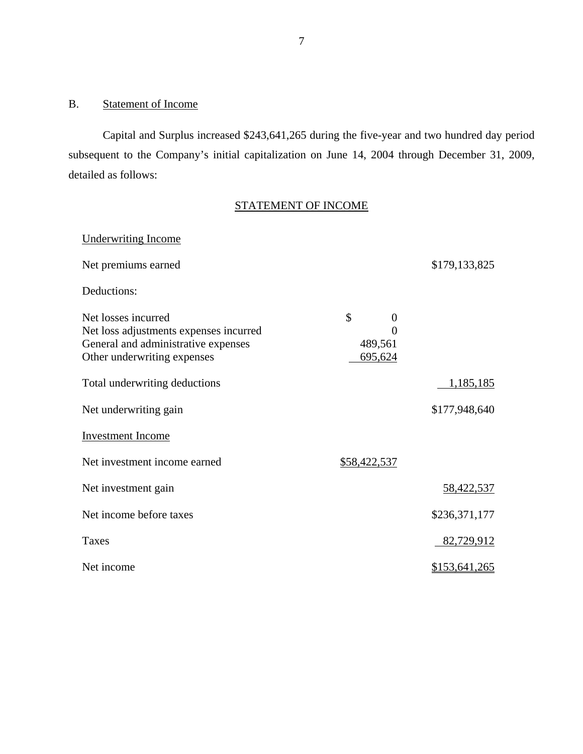## B. Statement of Income

Capital and Surplus increased \$243,641,265 during the five-year and two hundred day period subsequent to the Company's initial capitalization on June 14, 2004 through December 31, 2009, detailed as follows:

# STATEMENT OF INCOME

| <b>Underwriting Income</b>                                                                                                          |                                                        |                      |
|-------------------------------------------------------------------------------------------------------------------------------------|--------------------------------------------------------|----------------------|
| Net premiums earned                                                                                                                 |                                                        | \$179,133,825        |
| Deductions:                                                                                                                         |                                                        |                      |
| Net losses incurred<br>Net loss adjustments expenses incurred<br>General and administrative expenses<br>Other underwriting expenses | \$<br>$\overline{0}$<br>$\Omega$<br>489,561<br>695,624 |                      |
| Total underwriting deductions                                                                                                       |                                                        | 1,185,185            |
| Net underwriting gain                                                                                                               |                                                        | \$177,948,640        |
| <b>Investment Income</b>                                                                                                            |                                                        |                      |
| Net investment income earned                                                                                                        | \$58,422,537                                           |                      |
| Net investment gain                                                                                                                 |                                                        | <u>58,422,537</u>    |
| Net income before taxes                                                                                                             |                                                        | \$236,371,177        |
| Taxes                                                                                                                               |                                                        | 82,729,912           |
| Net income                                                                                                                          |                                                        | <u>\$153,641,265</u> |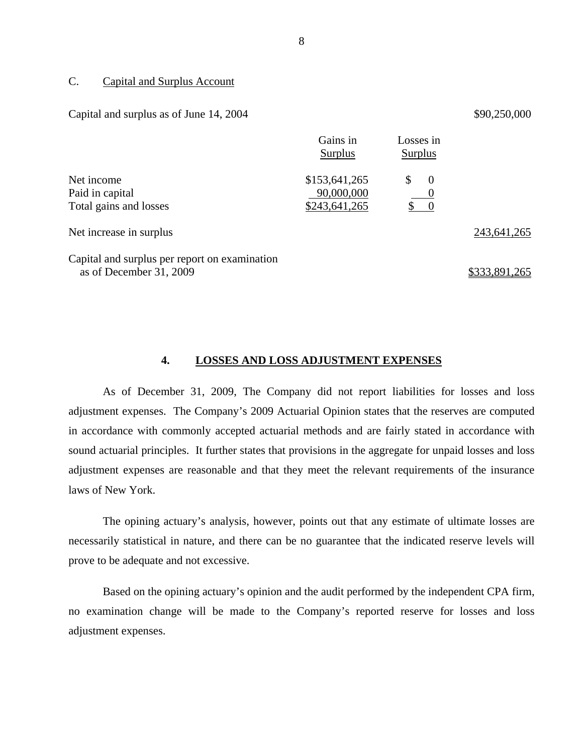#### <span id="page-9-0"></span>C. Capital and Surplus Account

#### Capital and surplus as of June  $14, 2004$   $$90,250,000$

|                                                                          | Gains in<br><b>Surplus</b> | Losses in<br><b>Surplus</b> |               |
|--------------------------------------------------------------------------|----------------------------|-----------------------------|---------------|
| Net income                                                               | \$153,641,265              | $\overline{0}$<br>S         |               |
| Paid in capital                                                          | 90,000,000                 | $\hspace{1.6cm} 0$          |               |
| Total gains and losses                                                   | \$243,641,265              | $\hspace{0.1em} 0$          |               |
| Net increase in surplus                                                  |                            |                             | 243,641,265   |
| Capital and surplus per report on examination<br>as of December 31, 2009 |                            |                             | \$333,891,265 |

#### **4. LOSSES AND LOSS ADJUSTMENT EXPENSES**

As of December 31, 2009, The Company did not report liabilities for losses and loss adjustment expenses. The Company's 2009 Actuarial Opinion states that the reserves are computed in accordance with commonly accepted actuarial methods and are fairly stated in accordance with sound actuarial principles. It further states that provisions in the aggregate for unpaid losses and loss adjustment expenses are reasonable and that they meet the relevant requirements of the insurance laws of New York.

The opining actuary's analysis, however, points out that any estimate of ultimate losses are necessarily statistical in nature, and there can be no guarantee that the indicated reserve levels will prove to be adequate and not excessive.

Based on the opining actuary's opinion and the audit performed by the independent CPA firm, no examination change will be made to the Company's reported reserve for losses and loss adjustment expenses.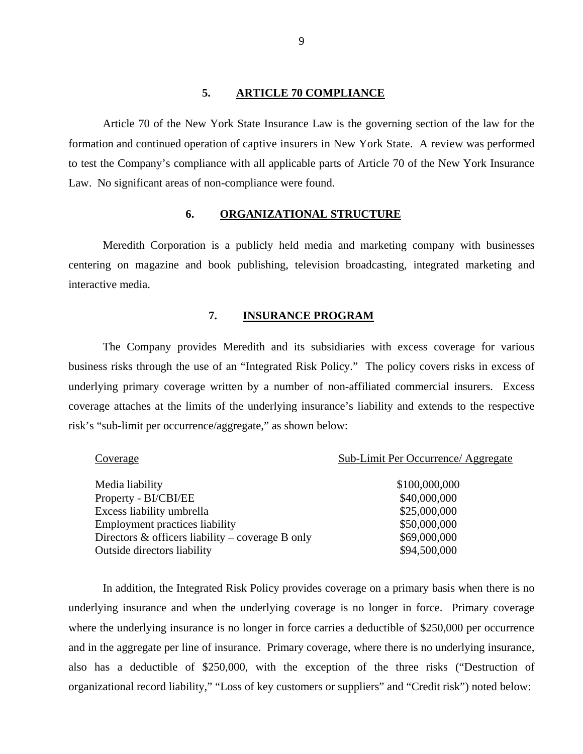#### **5. ARTICLE 70 COMPLIANCE**

<span id="page-10-0"></span>Article 70 of the New York State Insurance Law is the governing section of the law for the formation and continued operation of captive insurers in New York State. A review was performed to test the Company's compliance with all applicable parts of Article 70 of the New York Insurance Law. No significant areas of non-compliance were found.

#### **6. ORGANIZATIONAL STRUCTURE**

Meredith Corporation is a publicly held media and marketing company with businesses centering on magazine and book publishing, television broadcasting, integrated marketing and interactive media.

#### **7. INSURANCE PROGRAM**

The Company provides Meredith and its subsidiaries with excess coverage for various business risks through the use of an "Integrated Risk Policy." The policy covers risks in excess of underlying primary coverage written by a number of non-affiliated commercial insurers. Excess coverage attaches at the limits of the underlying insurance's liability and extends to the respective risk's "sub-limit per occurrence/aggregate," as shown below:

| Coverage                                            | Sub-Limit Per Occurrence/ Aggregate |
|-----------------------------------------------------|-------------------------------------|
|                                                     |                                     |
| Media liability                                     | \$100,000,000                       |
| Property - BI/CBI/EE                                | \$40,000,000                        |
| Excess liability umbrella                           | \$25,000,000                        |
| <b>Employment practices liability</b>               | \$50,000,000                        |
| Directors $\&$ officers liability – coverage B only | \$69,000,000                        |
| <b>Outside directors liability</b>                  | \$94,500,000                        |

In addition, the Integrated Risk Policy provides coverage on a primary basis when there is no underlying insurance and when the underlying coverage is no longer in force. Primary coverage where the underlying insurance is no longer in force carries a deductible of \$250,000 per occurrence and in the aggregate per line of insurance. Primary coverage, where there is no underlying insurance, also has a deductible of \$250,000, with the exception of the three risks ("Destruction of organizational record liability," "Loss of key customers or suppliers" and "Credit risk") noted below: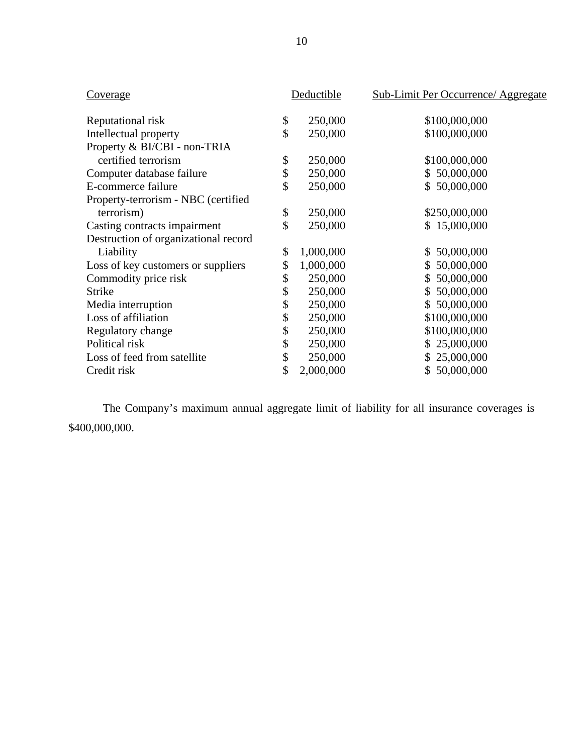| Coverage                             | Deductible      | <b>Sub-Limit Per Occurrence/ Aggregate</b> |
|--------------------------------------|-----------------|--------------------------------------------|
|                                      |                 |                                            |
| Reputational risk                    | \$<br>250,000   | \$100,000,000                              |
| Intellectual property                | \$<br>250,000   | \$100,000,000                              |
| Property & BI/CBI - non-TRIA         |                 |                                            |
| certified terrorism                  | \$<br>250,000   | \$100,000,000                              |
| Computer database failure            | \$<br>250,000   | \$50,000,000                               |
| E-commerce failure                   | \$<br>250,000   | 50,000,000<br>\$                           |
| Property-terrorism - NBC (certified  |                 |                                            |
| terrorism)                           | \$<br>250,000   | \$250,000,000                              |
| Casting contracts impairment         | \$<br>250,000   | \$15,000,000                               |
| Destruction of organizational record |                 |                                            |
| Liability                            | \$<br>1,000,000 | 50,000,000<br>$\mathbb{S}^-$               |
| Loss of key customers or suppliers   | \$<br>1,000,000 | \$50,000,000                               |
| Commodity price risk                 | \$<br>250,000   | 50,000,000<br>$\mathbb{S}$                 |
| <b>Strike</b>                        | \$<br>250,000   | 50,000,000<br>$\mathbb{S}^-$               |
| Media interruption                   | \$<br>250,000   | 50,000,000<br>\$                           |
| Loss of affiliation                  | \$<br>250,000   | \$100,000,000                              |
| Regulatory change                    | \$<br>250,000   | \$100,000,000                              |
| Political risk                       | \$<br>250,000   | 25,000,000<br>S.                           |
| Loss of feed from satellite          | \$<br>250,000   | 25,000,000<br>\$                           |
| Credit risk                          | \$<br>2,000,000 | 50,000,000<br>\$                           |

The Company's maximum annual aggregate limit of liability for all insurance coverages is \$400,000,000.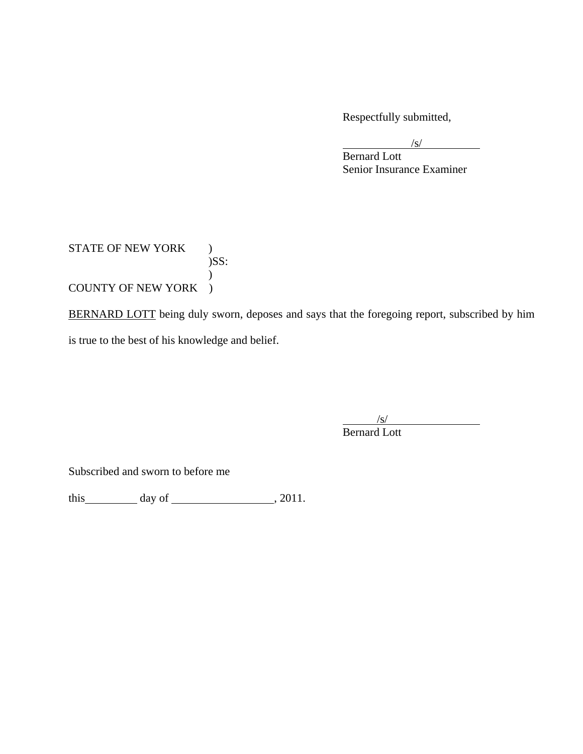Respectfully submitted,

 $\sqrt{s}$ 

 Bernard Lott Senior Insurance Examiner

STATE OF NEW YORK ) )SS:  $\mathcal{L}$ COUNTY OF NEW YORK )

BERNARD LOTT being duly sworn, deposes and says that the foregoing report, subscribed by him is true to the best of his knowledge and belief.

> $\sqrt{s/2}$ Bernard Lott

Subscribed and sworn to before me

this  $\qquad \qquad$  day of  $\qquad \qquad$  , 2011.